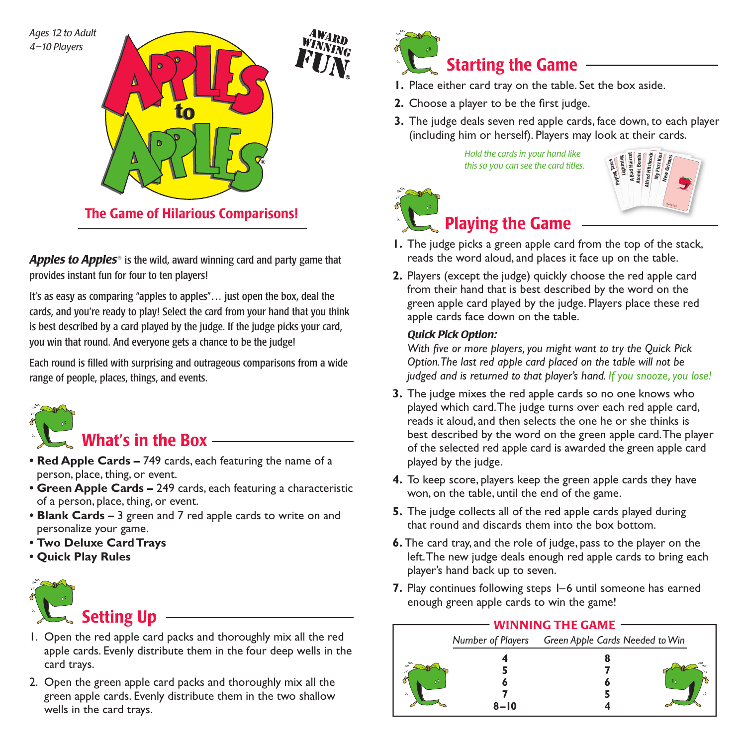*Ages 12 to Adult 4–10 Players*



Apples to Apples<sup>®</sup> is the wild, award winning card and party game that provides instant fun for four to ten players!

It's as easy as comparing "apples to apples"… just open the box, deal the cards, and you're ready to play! Select the card from your hand that you think is best described by a card played by the judge. If the judge picks your card, you win that round. And everyone gets a chance to be the judge!

Each round is filled with surprising and outrageous comparisons from a wide range of people, places, things, and events.



- **Red Apple Cards –** 749 cards, each featuring the name of a person, place, thing, or event.
- Green Apple Cards 249 cards, each featuring a characteristic of a person, place, thing, or event.
- **Blank Cards –** 3 green and 7 red apple cards to write on and personalize your game.
- **Two Deluxe Card Trays**
- **Quick Play Rules**



- 1. Open the red apple card packs and thoroughly mix all the red apple cards. Evenly distribute them in the four deep wells in the card trays.
- 2. Open the green apple card packs and thoroughly mix all the green apple cards. Evenly distribute them in the two shallow wells in the card trays.



- **1.** Place either card tray on the table. Set the box aside.
- **2.** Choose a player to be the first judge.
- **3.** The judge deals seven red apple cards, face down, to each player (including him or herself). Players may look at their cards.

*Hold the cards in your hand like this so you can see the card titles.*





## Playing the Game

- **1.** The judge picks a green apple card from the top of the stack, reads the word aloud, and places it face up on the table.
- **2.** Players (except the judge) quickly choose the red apple card from their hand that is best described by the word on the green apple card played by the judge. Players place these red apple cards face down on the table.

#### *Quick Pick Option:*

With five or more players, you might want to try the Quick Pick *Option. The last red apple card placed on the table will not be judged and is returned to that player's hand. If you snooze, you lose!*

- **3.** The judge mixes the red apple cards so no one knows who played which card. The judge turns over each red apple card, reads it aloud, and then selects the one he or she thinks is best described by the word on the green apple card. The player of the selected red apple card is awarded the green apple card played by the judge.
- **4.** To keep score, players keep the green apple cards they have won, on the table, until the end of the game.
- **5.** The judge collects all of the red apple cards played during that round and discards them into the box bottom.
- **6.** The card tray, and the role of judge, pass to the player on the left. The new judge deals enough red apple cards to bring each player's hand back up to seven.
- **7.** Play continues following steps 1–6 until someone has earned enough green apple cards to win the game!